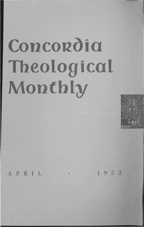# **Concordia Theological Monthly**



APRIL • 1952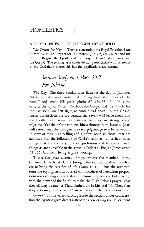## **HOMILETICS**

### A ROYAL PRIEST-IN MY OWN HOUSEHOLD

The Theme for May. - Themes concerning the Royal Priesthood are discernible in the Propers for this month: Jubilate, the Collect and the Epistle; Rogate, the Epistle and the Gospel; Exaudi, the Epistle and the Gospel. The services as a whole do not particularize with reference to the Christian's household, but the applications are natural.

## *Sermon Study on* 1 *Peter* 3:8-9 *For Jubilate*

*The Day.* The third Sunday after Easter is the day of Jubilate: "Make a joyful noise unto God." "Sing forth the honor of His name," and "make His praise glorious!" (Ps. 66:1-2.) It is the echo of the joy of Easter. Yet both the Gospel and the Epistle for the day seem, on first sight, to contain sad notes. In the Gospel lesson the disciples are sad because the Savior will leave them, and the Epistle lesson reminds Christians that they are strangers and pilgrims. Yet the brightest hope shines through both lessons. Jesus will return, and the strangers are on a pilgrimage to a better world. In view of their high calling and glorious hope all those "that are admitted into the fellowship of Christ's religion ... eschew those things that are contrary to their profession and follow all such things as are agreeable to the same" (Collect). For, as James states  $(1:27)$ , Christian living is pure worship.

This is the great sacrifice of royal priests, the members of the Christian Church. As Christ brought the sacrifice of death, so they are to bring the sacrifice of life  $(Rom. 12:1)$ . Thus the text presents the royal priests not busied with sacrifices of herculean proportions nor evolving abstract ideals of *cosmic* implication, but striving, with the power of the Spirit, to make the High Priest's prayer "that they all may be one; as Thou, Father, art in Me, and I in Thee, that they also may be one in Us" an actuality in their own household.

*Context.* In the verses which precede the section under consideration the Apostle gives divers instructions concerning the deportment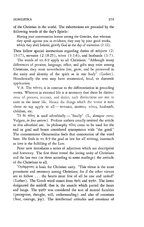of the Christian in the world. The exhortations are preceded by the following words of the day's Epistle:

Having your conversation honest among the Gentiles, that whereas they speak against you as evildoers, they may by your good works, which they shall behold, glorify God in the day of visitation (2:12).

Then follow special instructions regarding duties of subjects (2: 13-17), servants (2:18-25), wives (3:1-6), and husbands (3:7).

The words of vv. 8-9 apply to all Christians. "Although many differences of persons, language, office, and gifts may exist among Christians, they must nevertheless live, grow, and be preserved in the unity and identity of the spirit as in one body" (Luther). Homiletically the text may have ecumenical, local, or domestic application.

V.8. The  $\pi\acute{\alpha}$ ντες is in contrast to the differentiation in preceding verses. Whereas in external life it is necessary that there be distinctions of persons, stations, and duties, such distinctions are not to exist in the inner life. Hence the things which the writer is now about to say apply to all - servants, masters, wives, husbands, children, etc.

Tò δε τέλος is used adverbially - "finally" (L., *denique vero;* Vulgate, *in fine autem).* Profane authors usually omitted the article in this adverbial use. In philosophy  $\tau \in \Lambda$  came to be used for the end or goal and hence considered synonymous with "the good." The commentator Oecumenius feels that connotation of the word here. He finds in vv. 8-9 the goal or law for all striving, inasmuch as love is the fulfilling of the Law.

Peter now introduces a series of adjectives which are descriptive and hortatory. The first three reveal the loving unity of Christians and the last two (or three according to some readings) the attitude of the Christians to all.

'Oµópoves is basic for Christian unity. "This virtue is the most prominent and necessary among Christians; for if the other virtues are to follow . . . the hearts must first of all be one and united" (Luther). The Greek word comes from  $\delta\mu\delta\varsigma$  and  $\phi\varphi\eta v$ . The latter designated the midriff, that is, the muscle which parted the heart and lungs. The  $\phi\phi\gamma$  was considered the seat of mental faculties (perception, thought, will, understanding) and also of emotions (fear, courage, joy). The intellectual attitudes and emotions of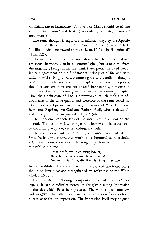Christians are to harmonize. Followers of Christ should be of one and the same mind and heart (concordant; Vulgate, *unanimes;* unanimous) .

The same thought is expressed in different ways by the Apostle Paul: "Be of the same mind one toward another" (Rom. 12:16); "be like-minded one toward another (Rom. 15 :5); "be like-minded" (Phil. 2:2).

The nature of the word here used shows that the intellectual and emotional harmony is to be no external gloss, but is to come from the innermost being. From the mental viewpoint the word would indicate agreement on the fundamental principles of life and with unity of will striving toward common goals and details of thought centering in such fundamental principles. Common perceptions, thoughts, and emotions are not created haphazardly, but arise in minds and hearts functioning on the basis of common principles. Thus the Christ-centered life is presupposed, which makes minds and hearts of the same quality and therefore of the same reactions. The unity is a Spirit-created unity, the result of "one Lord, one faith, one Baptism, one God and Father of all, who is above ali and through all and in you all" (Eph.4:5-6).

The emotional connotations of the world are dependent on the mental. The common joy, courage, and fear would be occasioned by common perception, understanding, and will.

The above word and the following one contain notes of advice. Since basic unity contributes much to a harmonious household, a Christian foundation should be sought by those who are about to establish a home.

> Drum prüfe, wer sich ewig bindet, Ob sich das Herz zurn Herzen findet! Der Wahn ist kurz, die Reu' ist lang. - Schiller.

In the established home the basic intellectual and emotional unity should be kept alive and strengthened by active use of the Word (Col. 3:16-17).

The translation "having compassion one of another" for συμπαθείς, while radically correct, might give a wrong impression of the idea which Peter here presents. The word comes from  $\sigma v$ and  $\pi \acute{\alpha} \sigma \chi$ <sub>Elv</sub>. The latter means to receive an action from without, to receive or feel an impression. The impression itself may be good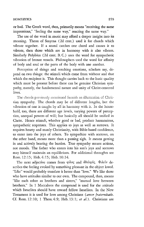or bad. The Greek word, then, primarily means "receiving the same impressions," "feeling the same way," reacting the same way."

The use of the word in music may afford a deeper insight into its meaning. Theon of Smyrna (2d cent.) used it for chords which vibrate together. If a sound catches one chord and causes it to vibrate, then those which are in harmony with it also vibrate. Similarly Polybius (2d cent. B. C.) uses the word for sympathetic vibration of bronze vessels. Philosophers used the word for affinity of body and soul or the parts of the body with one another.

Perception of things and resulting emotions, scholars say, depend on two things: the stimuli which come from without and that which the recipient is. This thought carries back to the basic quality which must be present before there can be genuine Christian sympathy, namely, the fundamental nature and unity of Christ-centered lives.

The chords previously mentioned furnish an illustration of Christian sympathy. The chords may be of different lengths, but the vibration of one is caught by all in harmony with it. In the household, too, there are different age levels, varying powers of perception, unequal powers of will; but basically all should be unified in Christ. Hence stimuli, whether good or bad, produce harmonious, sympathetic responses. This applies to joys as well as sorrows. It requires hearty and manly Christianity, with Bible-based confidence, to enter into the joys of others. To sympathize with sorrows, on the other hand, means more than a passing sigh. It means getting in and actively bearing the burden. True sympathy means actions, not moods. The father who enters into his son's joys and sorrows may himself maintain an equilibrium. For additional throughts see Rom. 12:15; Heb.4:15; Heb.10:34.

The next adjective comes from  $\varphi(\lambda)$  and  $\hat{\alpha}$ δελφός. Φιλεΐν describes the feeling evoked by something pleasant in the object loved. "Like" would probably translate it better than "love." We like those who have attitudes similar to our own. The compound, then, means "like each other as brothers and sisters," "mutual love between brothers." In 1 Maccabees the compound is used for the attitude which Israelites should have toward fellow Israelites. In the New Testament it is used for love among Christians *(amor fraternitatis.*  Cf. Rom. 12:10; 1 Thess.4:9; Heb.13:1; *et* at.). Christians are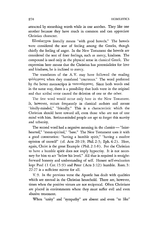attracted by something worth while in one another. They like one another because they have much in common and can appreciate Christian character.

Eύσπλαγχνοι literally means "with good bowels." The bowels were considered the seat of feeling among the Greeks, though chiefly the feeling of anger. In the New Testament the bowels are considered the seat of finer feelings, such as mercy, kindness. The compound is used only in the physical sense in classical Greek. The expression here means that the Christian has potentialities for love and kindness, he is inclined to mercy.

The translators of the A. V. may have followed the reading q:n},ocpQoVES when they translated "courteous." The word preferred by the better manuscripts is ταπεινόφρονες. Since both words end in the same way, there is a possibility that both were in the original and that scribal error caused the deletion of one or the other.

The first word would occur only here in the New Testament. It, however, occurs frequently in classical authors and means "kindly-minded," "friendly." This is a characteristic which the Christian should have toward all, even those who are not of one mind with him. Serious-minded people are apt to forget this suavity and urbanity.

The second word had a negative meaning in the classics - "fainthearted," "mean-spirited," "base." The New Testament uses it with a good connotation: "having a humble spirit," "having a modest opinion of oneself" (d. Acts 20:19; Phil. 2:3; Eph.4:2). Here, again, Christ is the great Example (Phil. 2: 1-8). For the Christian to have a humble spirit does not imply hypocrisy. It is not necessary for him to act "below his level." All that is required is straightforward honesty and understanding of self. Honest self-evaluation kept Paul (1 Cor. 15:9) and Peter (Acts 3:12) humble. Rom. 3: 22-27 is a sufficient mirror for all.

V. 9. In the previous verse the Apostle has dealt with qualities which are mutual in the Christian household. There are, however, times when the positive virtues are not reciprocal. Often Christians are placed in environments where they must suffer evil and even abusive treatment.

When "unity" and "sympathy" are absent and even "to like"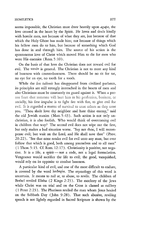#### HOMILETICS 277

seems impossible, the Christian must draw heavily upon *agape}* the love created in the heart by the Spirit. He loves and deals kindly with hostile men, not because of what they are, but because of that which the Holy Ghost has made him; not because of things which his fellow men do to him, but because of something which God has done in and through him. The source of his action is the spontaneous love of Christ which moved Him to die for men who were His enemies (Rom. 5:10).

On the basis of that love the Christian does not reward evil for evil. The  $xaxóv$  is general. The Christian is not to meet any kind of baseness with counterbaseness. There should be no tit for tat, no eye for an eye, no tooth for a tooth.

While the *lex talionis* has disappeared from civilized parlance, its principles are stiIl strongly intrenched in the hearts of men and also Christians must be constantly on guard against it. When a person fears that someone will hurt him in his profession, business, or socially, his first impulse is to fight fire with fire, to give evil for evil. **It** is regarded a matter of survival to treat others as they treat you. "Thou shalt love thy neighbor and hate thine enemy," said the old Jewish maxim (Matt. 5:43). Such action is not only unchristian, it is also foolish. Who would think of overcoming evil in children that way? The second evil does not wipe out the first, but only makes a bad situation worse. "Say not thou, I will recompense evil; but wait on the Lord, and He shall save thee" (Prov. 20: 22 ). "See that none render evil for evil unto any man; but ever follow that which is good, both among yourselves and to all men" (1 Thess. 5: 15. Cf. Rom. 12: 17). Christianity is positive, not negative. It is a life, a spirit  $-$  not a code, not a legal formulation. Vengeance would sacrifice the life to evil; the good, vanquished, would rely on its opposite to combat baseness.

A particular kind of evil, and one of the most difficult to endure, is covered by the word λοιδορία. The etymology of this word is uncertain. It means to rail at, to abuse, to revile. The children of Bethel reviled Elisha (2 Kings 2:23). The mockery of the Jews while Christ was on trial and on the Cross is classed as raillery (1 Peter 2: 23). The Pharisees reviled the man whom Jesus healed on the Sabbath Day (John 9:28). That such abusive, reviling speech is not lightly regarded in Sacred Scripture is shown by the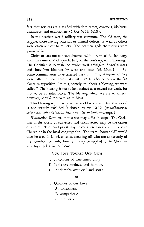fact that revilers are classified with fornicators, covetous, idolaters, drunkards, and extortioners (1 Cor. 5:11; 6:10).

In the heathen world raillery was common. The old man, the cripple, those having physical or mental defects, as well as others were often subject to raillery. The heathen gods themselves were guilty of it.

Christians are not to meet abusive, railing, reproachful language with the same kind of speech, but, on the contrary, with "blessing." The Christian is to wish the reviler well (Vulgate, *benedicentes)*  and show him kindness by word and deed (cf. Matt. 5:44-48). Some commentators have referred the είς τούτο το εύλογούντες, "we were called to bless those that revile us." It is better to take the Lva clause as appositive: "to this, namely, to inherit a blessing, we were called." The blessing is not to be obtained as a reward for work, for it is to be an inheritance. The blessing which we are to inherit, however, should motivate us to bless.

This blessing is primarily in the world to come. That this world is not entirely excluded is shown by vv. 10-12 *(benedictionem*  aeternam, cuius primitias iam nunc pii habent. - Bengel).

*Homiletics.* Sermons on this text may differ in scope. The Christian in the world of converted and unconverted may be the center of interest. The royal priest may be considered in the entire visible Church or in the local congregation. The term "household" would then be used in its wider sense, meaning all who are apparently of the household of faith. Finally, it may be applied to the Christian as a royal priest in the home.

OUR LOVE TOWARD OUR OWN

- I. It consists of true inner unity
- II. It fosters kindness and humility
- III. It triumphs over evil and scorn

or

- I. Qualities of our Love
	- A. consentient
	- B. sympathetic
	- C. brotherly